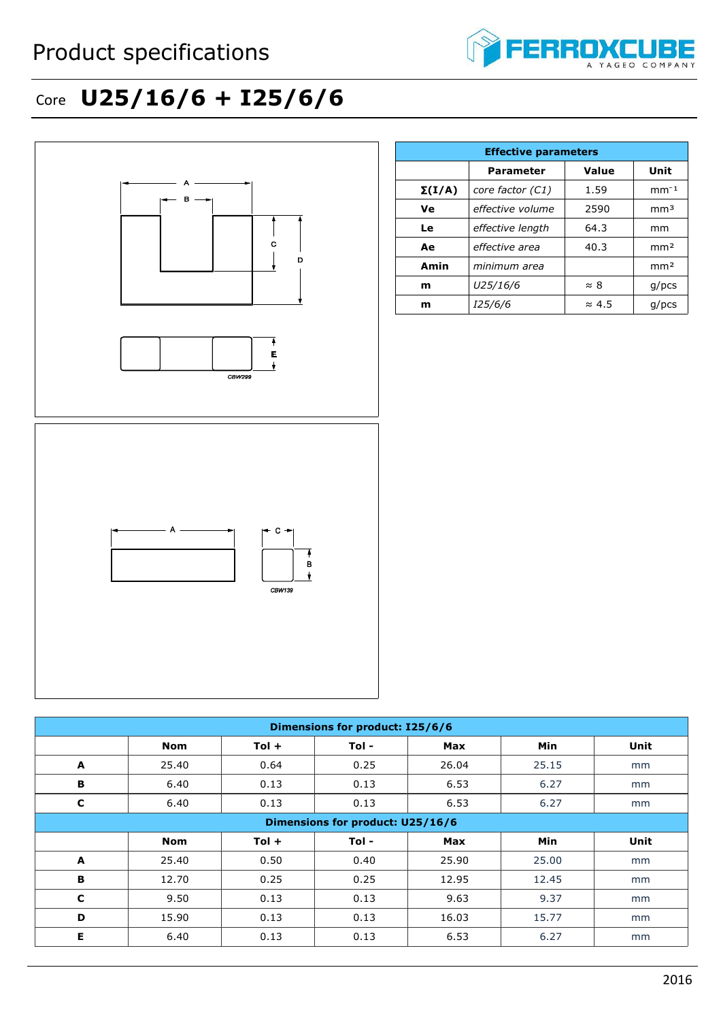

## Core **U25/16/6 + I25/6/6**



| <b>Effective parameters</b> |                  |               |                 |  |  |
|-----------------------------|------------------|---------------|-----------------|--|--|
|                             | <b>Parameter</b> | Value         | Unit            |  |  |
| $\Sigma(I/A)$               | core factor (C1) | 1.59          | $mm-1$          |  |  |
| Ve                          | effective volume | 2590          | mm <sup>3</sup> |  |  |
| Le                          | effective length | 64.3          | mm              |  |  |
| Ae                          | effective area   | 40.3          | mm <sup>2</sup> |  |  |
| Amin                        | minimum area     |               | mm <sup>2</sup> |  |  |
| m                           | U25/16/6         | $\approx 8$   | $g$ /pcs        |  |  |
| m                           | <i>125/6/6</i>   | $\approx 4.5$ | $q$ /pcs        |  |  |

| Dimensions for product: I25/6/6 |                                         |         |       |            |            |      |  |
|---------------------------------|-----------------------------------------|---------|-------|------------|------------|------|--|
|                                 | <b>Nom</b>                              | $Tol +$ | Tol - | Max        | <b>Min</b> | Unit |  |
| A                               | 25.40                                   | 0.64    | 0.25  | 26.04      | 25.15      | mm   |  |
| B                               | 6.40                                    | 0.13    | 0.13  | 6.53       | 6.27       | mm   |  |
| C                               | 6.40                                    | 0.13    | 0.13  | 6.53       | 6.27       | mm   |  |
|                                 | <b>Dimensions for product: U25/16/6</b> |         |       |            |            |      |  |
|                                 | <b>Nom</b>                              | $Tol +$ | Tol - | <b>Max</b> | Min        | Unit |  |
| A                               | 25.40                                   | 0.50    | 0.40  | 25.90      | 25.00      | mm   |  |
| B                               | 12.70                                   | 0.25    | 0.25  | 12.95      | 12.45      | mm   |  |
| $\mathbf c$                     | 9.50                                    | 0.13    | 0.13  | 9.63       | 9.37       | mm   |  |
| D                               | 15.90                                   | 0.13    | 0.13  | 16.03      | 15.77      | mm   |  |
| E                               | 6.40                                    | 0.13    | 0.13  | 6.53       | 6.27       | mm   |  |